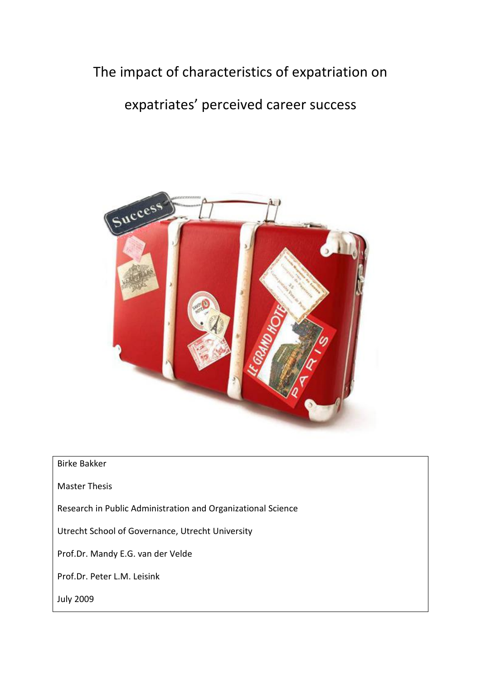# The impact of characteristics of expatriation on

# expatriates' perceived career success



# Birke Bakker

Master Thesis

Research in Public Administration and Organizational Science

Utrecht School of Governance, Utrecht University

Prof.Dr. Mandy E.G. van der Velde

Prof.Dr. Peter L.M. Leisink

July 2009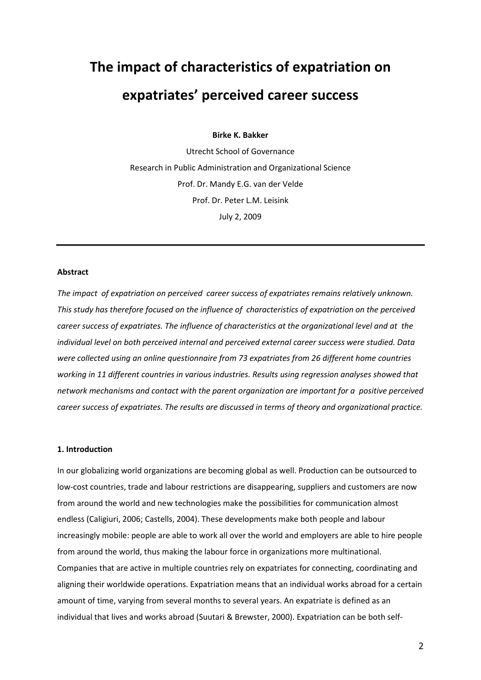# **The impact of characteristics of expatriation on expatriates' perceived career success**

**Birke K. Bakker** 

Utrecht School of Governance Research in Public Administration and Organizational Science Prof. Dr. Mandy E.G. van der Velde Prof. Dr. Peter L.M. Leisink July 2, 2009

#### **Abstract**

*The impact of expatriation on perceived career success of expatriates remains relatively unknown. This study has therefore focused on the influence of characteristics of expatriation on the perceived career success of expatriates. The influence of characteristics at the organizational level and at the individual level on both perceived internal and perceived external career success were studied. Data were collected using an online questionnaire from 73 expatriates from 26 different home countries working in 11 different countries in various industries. Results using regression analyses showed that network mechanisms and contact with the parent organization are important for a positive perceived career success of expatriates. The results are discussed in terms of theory and organizational practice.* 

# **1. Introduction**

In our globalizing world organizations are becoming global as well. Production can be outsourced to low-cost countries, trade and labour restrictions are disappearing, suppliers and customers are now from around the world and new technologies make the possibilities for communication almost endless (Caligiuri, 2006; Castells, 2004). These developments make both people and labour increasingly mobile: people are able to work all over the world and employers are able to hire people from around the world, thus making the labour force in organizations more multinational. Companies that are active in multiple countries rely on expatriates for connecting, coordinating and aligning their worldwide operations. Expatriation means that an individual works abroad for a certain amount of time, varying from several months to several years. An expatriate is defined as an individual that lives and works abroad (Suutari & Brewster, 2000). Expatriation can be both self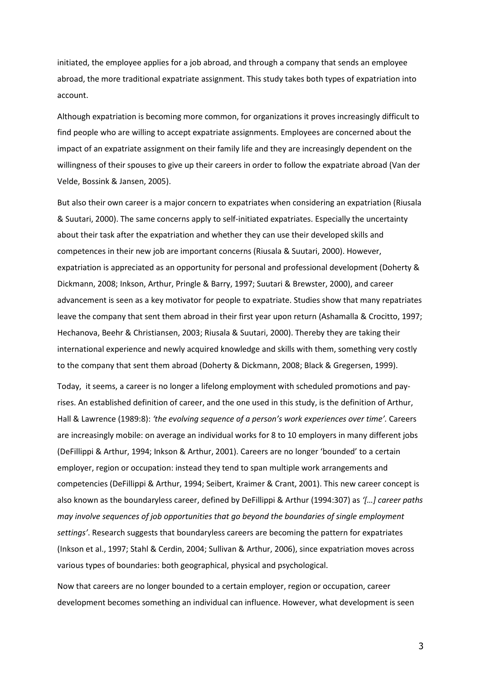initiated, the employee applies for a job abroad, and through a company that sends an employee abroad, the more traditional expatriate assignment. This study takes both types of expatriation into account.

Although expatriation is becoming more common, for organizations it proves increasingly difficult to find people who are willing to accept expatriate assignments. Employees are concerned about the impact of an expatriate assignment on their family life and they are increasingly dependent on the willingness of their spouses to give up their careers in order to follow the expatriate abroad (Van der Velde, Bossink & Jansen, 2005).

But also their own career is a major concern to expatriates when considering an expatriation (Riusala & Suutari, 2000). The same concerns apply to self-initiated expatriates. Especially the uncertainty about their task after the expatriation and whether they can use their developed skills and competences in their new job are important concerns (Riusala & Suutari, 2000). However, expatriation is appreciated as an opportunity for personal and professional development (Doherty & Dickmann, 2008; Inkson, Arthur, Pringle & Barry, 1997; Suutari & Brewster, 2000), and career advancement is seen as a key motivator for people to expatriate. Studies show that many repatriates leave the company that sent them abroad in their first year upon return (Ashamalla & Crocitto, 1997; Hechanova, Beehr & Christiansen, 2003; Riusala & Suutari, 2000). Thereby they are taking their international experience and newly acquired knowledge and skills with them, something very costly to the company that sent them abroad (Doherty & Dickmann, 2008; Black & Gregersen, 1999).

Today, it seems, a career is no longer a lifelong employment with scheduled promotions and payrises. An established definition of career, and the one used in this study, is the definition of Arthur, Hall & Lawrence (1989:8): *'the evolving sequence of a person's work experiences over time'.* Careers are increasingly mobile: on average an individual works for 8 to 10 employers in many different jobs (DeFillippi & Arthur, 1994; Inkson & Arthur, 2001). Careers are no longer 'bounded' to a certain employer, region or occupation: instead they tend to span multiple work arrangements and competencies (DeFillippi & Arthur, 1994; Seibert, Kraimer & Crant, 2001). This new career concept is also known as the boundaryless career, defined by DeFillippi & Arthur (1994:307) as *'[…] career paths may involve sequences of job opportunities that go beyond the boundaries of single employment settings'*. Research suggests that boundaryless careers are becoming the pattern for expatriates (Inkson et al., 1997; Stahl & Cerdin, 2004; Sullivan & Arthur, 2006), since expatriation moves across various types of boundaries: both geographical, physical and psychological.

Now that careers are no longer bounded to a certain employer, region or occupation, career development becomes something an individual can influence. However, what development is seen

3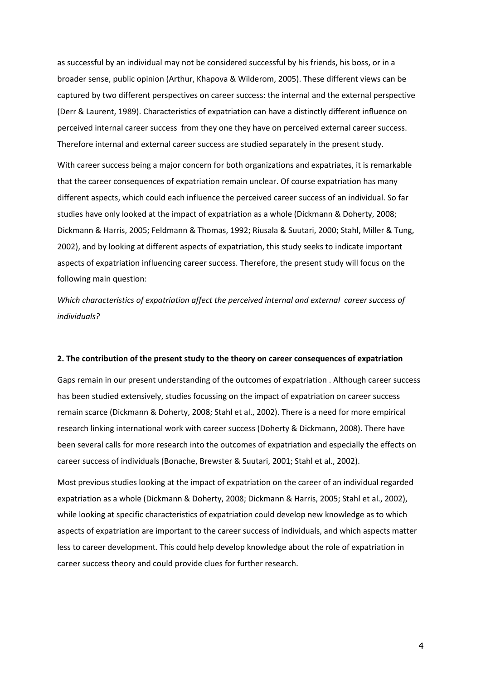as successful by an individual may not be considered successful by his friends, his boss, or in a broader sense, public opinion (Arthur, Khapova & Wilderom, 2005). These different views can be captured by two different perspectives on career success: the internal and the external perspective (Derr & Laurent, 1989). Characteristics of expatriation can have a distinctly different influence on perceived internal career success from they one they have on perceived external career success. Therefore internal and external career success are studied separately in the present study.

With career success being a major concern for both organizations and expatriates, it is remarkable that the career consequences of expatriation remain unclear. Of course expatriation has many different aspects, which could each influence the perceived career success of an individual. So far studies have only looked at the impact of expatriation as a whole (Dickmann & Doherty, 2008; Dickmann & Harris, 2005; Feldmann & Thomas, 1992; Riusala & Suutari, 2000; Stahl, Miller & Tung, 2002), and by looking at different aspects of expatriation, this study seeks to indicate important aspects of expatriation influencing career success. Therefore, the present study will focus on the following main question:

*Which characteristics of expatriation affect the perceived internal and external career success of individuals?* 

#### **2. The contribution of the present study to the theory on career consequences of expatriation**

Gaps remain in our present understanding of the outcomes of expatriation . Although career success has been studied extensively, studies focussing on the impact of expatriation on career success remain scarce (Dickmann & Doherty, 2008; Stahl et al., 2002). There is a need for more empirical research linking international work with career success (Doherty & Dickmann, 2008). There have been several calls for more research into the outcomes of expatriation and especially the effects on career success of individuals (Bonache, Brewster & Suutari, 2001; Stahl et al., 2002).

Most previous studies looking at the impact of expatriation on the career of an individual regarded expatriation as a whole (Dickmann & Doherty, 2008; Dickmann & Harris, 2005; Stahl et al., 2002), while looking at specific characteristics of expatriation could develop new knowledge as to which aspects of expatriation are important to the career success of individuals, and which aspects matter less to career development. This could help develop knowledge about the role of expatriation in career success theory and could provide clues for further research.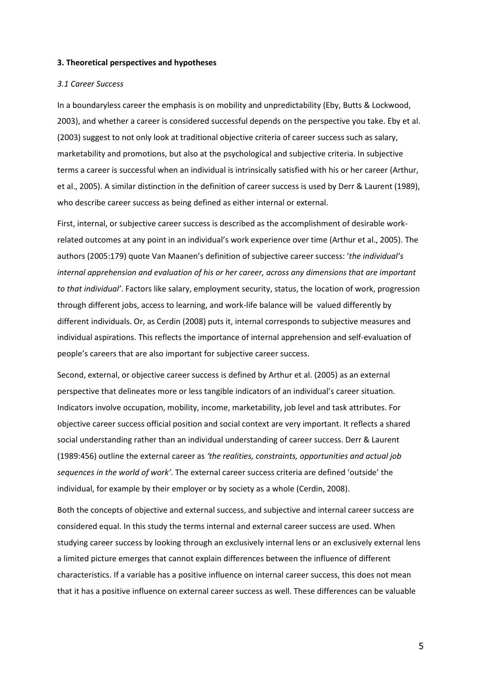#### **3. Theoretical perspectives and hypotheses**

### *3.1 Career Success*

In a boundaryless career the emphasis is on mobility and unpredictability (Eby, Butts & Lockwood, 2003), and whether a career is considered successful depends on the perspective you take. Eby et al. (2003) suggest to not only look at traditional objective criteria of career success such as salary, marketability and promotions, but also at the psychological and subjective criteria. In subjective terms a career is successful when an individual is intrinsically satisfied with his or her career (Arthur, et al., 2005). A similar distinction in the definition of career success is used by Derr & Laurent (1989), who describe career success as being defined as either internal or external.

First, internal, or subjective career success is described as the accomplishment of desirable workrelated outcomes at any point in an individual's work experience over time (Arthur et al., 2005). The authors (2005:179) quote Van Maanen's definition of subjective career success: '*the individual's internal apprehension and evaluation of his or her career, across any dimensions that are important to that individual'*. Factors like salary, employment security, status, the location of work, progression through different jobs, access to learning, and work-life balance will be valued differently by different individuals. Or, as Cerdin (2008) puts it, internal corresponds to subjective measures and individual aspirations. This reflects the importance of internal apprehension and self-evaluation of people's careers that are also important for subjective career success.

Second, external, or objective career success is defined by Arthur et al. (2005) as an external perspective that delineates more or less tangible indicators of an individual's career situation. Indicators involve occupation, mobility, income, marketability, job level and task attributes. For objective career success official position and social context are very important. It reflects a shared social understanding rather than an individual understanding of career success. Derr & Laurent (1989:456) outline the external career as *'the realities, constraints, opportunities and actual job sequences in the world of work'*. The external career success criteria are defined 'outside' the individual, for example by their employer or by society as a whole (Cerdin, 2008).

Both the concepts of objective and external success, and subjective and internal career success are considered equal. In this study the terms internal and external career success are used. When studying career success by looking through an exclusively internal lens or an exclusively external lens a limited picture emerges that cannot explain differences between the influence of different characteristics. If a variable has a positive influence on internal career success, this does not mean that it has a positive influence on external career success as well. These differences can be valuable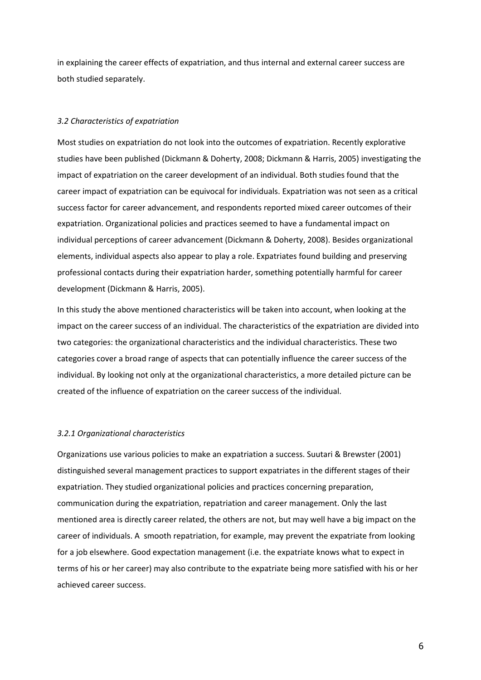in explaining the career effects of expatriation, and thus internal and external career success are both studied separately.

# *3.2 Characteristics of expatriation*

Most studies on expatriation do not look into the outcomes of expatriation. Recently explorative studies have been published (Dickmann & Doherty, 2008; Dickmann & Harris, 2005) investigating the impact of expatriation on the career development of an individual. Both studies found that the career impact of expatriation can be equivocal for individuals. Expatriation was not seen as a critical success factor for career advancement, and respondents reported mixed career outcomes of their expatriation. Organizational policies and practices seemed to have a fundamental impact on individual perceptions of career advancement (Dickmann & Doherty, 2008). Besides organizational elements, individual aspects also appear to play a role. Expatriates found building and preserving professional contacts during their expatriation harder, something potentially harmful for career development (Dickmann & Harris, 2005).

In this study the above mentioned characteristics will be taken into account, when looking at the impact on the career success of an individual. The characteristics of the expatriation are divided into two categories: the organizational characteristics and the individual characteristics. These two categories cover a broad range of aspects that can potentially influence the career success of the individual. By looking not only at the organizational characteristics, a more detailed picture can be created of the influence of expatriation on the career success of the individual.

# *3.2.1 Organizational characteristics*

Organizations use various policies to make an expatriation a success. Suutari & Brewster (2001) distinguished several management practices to support expatriates in the different stages of their expatriation. They studied organizational policies and practices concerning preparation, communication during the expatriation, repatriation and career management. Only the last mentioned area is directly career related, the others are not, but may well have a big impact on the career of individuals. A smooth repatriation, for example, may prevent the expatriate from looking for a job elsewhere. Good expectation management (i.e. the expatriate knows what to expect in terms of his or her career) may also contribute to the expatriate being more satisfied with his or her achieved career success.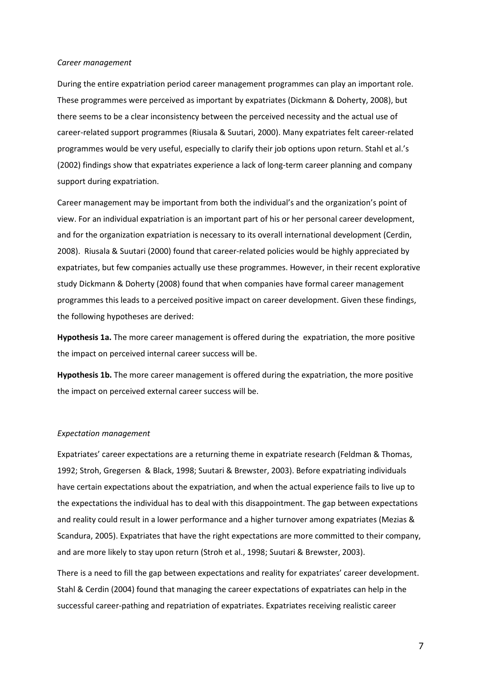#### *Career management*

During the entire expatriation period career management programmes can play an important role. These programmes were perceived as important by expatriates (Dickmann & Doherty, 2008), but there seems to be a clear inconsistency between the perceived necessity and the actual use of career-related support programmes (Riusala & Suutari, 2000). Many expatriates felt career-related programmes would be very useful, especially to clarify their job options upon return. Stahl et al.'s (2002) findings show that expatriates experience a lack of long-term career planning and company support during expatriation.

Career management may be important from both the individual's and the organization's point of view. For an individual expatriation is an important part of his or her personal career development, and for the organization expatriation is necessary to its overall international development (Cerdin, 2008). Riusala & Suutari (2000) found that career-related policies would be highly appreciated by expatriates, but few companies actually use these programmes. However, in their recent explorative study Dickmann & Doherty (2008) found that when companies have formal career management programmes this leads to a perceived positive impact on career development. Given these findings, the following hypotheses are derived:

**Hypothesis 1a.** The more career management is offered during the expatriation, the more positive the impact on perceived internal career success will be.

**Hypothesis 1b.** The more career management is offered during the expatriation, the more positive the impact on perceived external career success will be.

#### *Expectation management*

Expatriates' career expectations are a returning theme in expatriate research (Feldman & Thomas, 1992; Stroh, Gregersen & Black, 1998; Suutari & Brewster, 2003). Before expatriating individuals have certain expectations about the expatriation, and when the actual experience fails to live up to the expectations the individual has to deal with this disappointment. The gap between expectations and reality could result in a lower performance and a higher turnover among expatriates (Mezias & Scandura, 2005). Expatriates that have the right expectations are more committed to their company, and are more likely to stay upon return (Stroh et al., 1998; Suutari & Brewster, 2003).

There is a need to fill the gap between expectations and reality for expatriates' career development. Stahl & Cerdin (2004) found that managing the career expectations of expatriates can help in the successful career-pathing and repatriation of expatriates. Expatriates receiving realistic career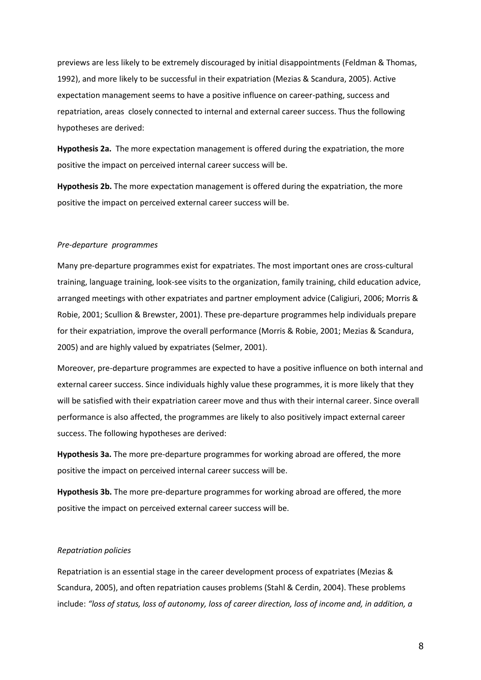previews are less likely to be extremely discouraged by initial disappointments (Feldman & Thomas, 1992), and more likely to be successful in their expatriation (Mezias & Scandura, 2005). Active expectation management seems to have a positive influence on career-pathing, success and repatriation, areas closely connected to internal and external career success. Thus the following hypotheses are derived:

**Hypothesis 2a.** The more expectation management is offered during the expatriation, the more positive the impact on perceived internal career success will be.

**Hypothesis 2b.** The more expectation management is offered during the expatriation, the more positive the impact on perceived external career success will be.

# *Pre-departure programmes*

Many pre-departure programmes exist for expatriates. The most important ones are cross-cultural training, language training, look-see visits to the organization, family training, child education advice, arranged meetings with other expatriates and partner employment advice (Caligiuri, 2006; Morris & Robie, 2001; Scullion & Brewster, 2001). These pre-departure programmes help individuals prepare for their expatriation, improve the overall performance (Morris & Robie, 2001; Mezias & Scandura, 2005) and are highly valued by expatriates (Selmer, 2001).

Moreover, pre-departure programmes are expected to have a positive influence on both internal and external career success. Since individuals highly value these programmes, it is more likely that they will be satisfied with their expatriation career move and thus with their internal career. Since overall performance is also affected, the programmes are likely to also positively impact external career success. The following hypotheses are derived:

**Hypothesis 3a.** The more pre-departure programmes for working abroad are offered, the more positive the impact on perceived internal career success will be.

**Hypothesis 3b.** The more pre-departure programmes for working abroad are offered, the more positive the impact on perceived external career success will be.

# *Repatriation policies*

Repatriation is an essential stage in the career development process of expatriates (Mezias & Scandura, 2005), and often repatriation causes problems (Stahl & Cerdin, 2004). These problems include: *"loss of status, loss of autonomy, loss of career direction, loss of income and, in addition, a*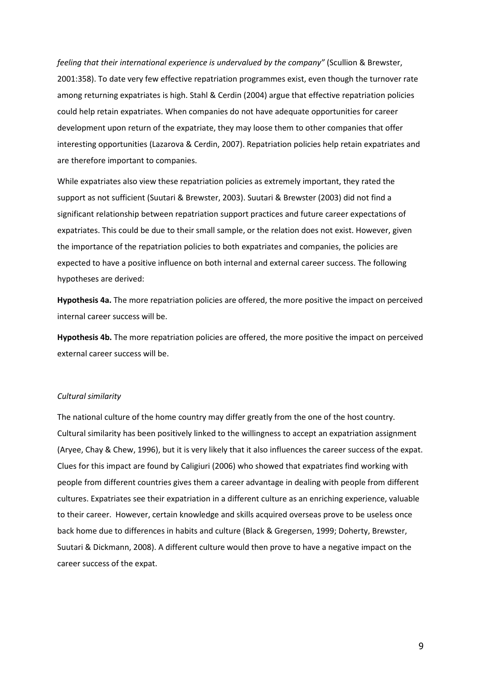*feeling that their international experience is undervalued by the company"* (Scullion & Brewster, 2001:358). To date very few effective repatriation programmes exist, even though the turnover rate among returning expatriates is high. Stahl & Cerdin (2004) argue that effective repatriation policies could help retain expatriates. When companies do not have adequate opportunities for career development upon return of the expatriate, they may loose them to other companies that offer interesting opportunities (Lazarova & Cerdin, 2007). Repatriation policies help retain expatriates and are therefore important to companies.

While expatriates also view these repatriation policies as extremely important, they rated the support as not sufficient (Suutari & Brewster, 2003). Suutari & Brewster (2003) did not find a significant relationship between repatriation support practices and future career expectations of expatriates. This could be due to their small sample, or the relation does not exist. However, given the importance of the repatriation policies to both expatriates and companies, the policies are expected to have a positive influence on both internal and external career success. The following hypotheses are derived:

**Hypothesis 4a.** The more repatriation policies are offered, the more positive the impact on perceived internal career success will be.

**Hypothesis 4b.** The more repatriation policies are offered, the more positive the impact on perceived external career success will be.

# *Cultural similarity*

The national culture of the home country may differ greatly from the one of the host country. Cultural similarity has been positively linked to the willingness to accept an expatriation assignment (Aryee, Chay & Chew, 1996), but it is very likely that it also influences the career success of the expat. Clues for this impact are found by Caligiuri (2006) who showed that expatriates find working with people from different countries gives them a career advantage in dealing with people from different cultures. Expatriates see their expatriation in a different culture as an enriching experience, valuable to their career. However, certain knowledge and skills acquired overseas prove to be useless once back home due to differences in habits and culture (Black & Gregersen, 1999; Doherty, Brewster, Suutari & Dickmann, 2008). A different culture would then prove to have a negative impact on the career success of the expat.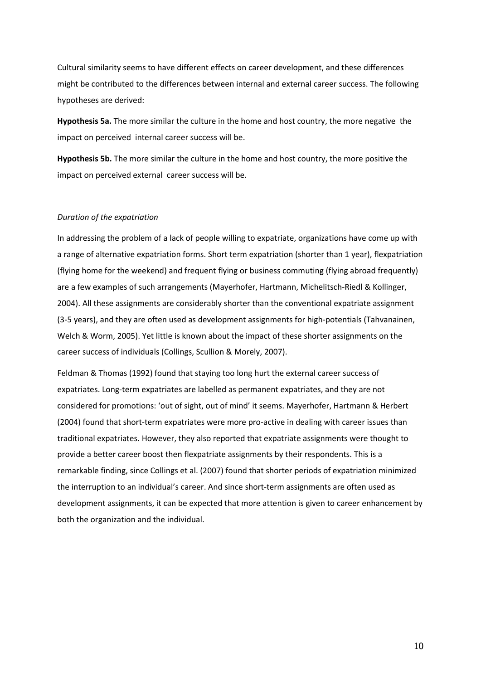Cultural similarity seems to have different effects on career development, and these differences might be contributed to the differences between internal and external career success. The following hypotheses are derived:

**Hypothesis 5a.** The more similar the culture in the home and host country, the more negative the impact on perceived internal career success will be.

**Hypothesis 5b.** The more similar the culture in the home and host country, the more positive the impact on perceived external career success will be.

# *Duration of the expatriation*

In addressing the problem of a lack of people willing to expatriate, organizations have come up with a range of alternative expatriation forms. Short term expatriation (shorter than 1 year), flexpatriation (flying home for the weekend) and frequent flying or business commuting (flying abroad frequently) are a few examples of such arrangements (Mayerhofer, Hartmann, Michelitsch-Riedl & Kollinger, 2004). All these assignments are considerably shorter than the conventional expatriate assignment (3-5 years), and they are often used as development assignments for high-potentials (Tahvanainen, Welch & Worm, 2005). Yet little is known about the impact of these shorter assignments on the career success of individuals (Collings, Scullion & Morely, 2007).

Feldman & Thomas (1992) found that staying too long hurt the external career success of expatriates. Long-term expatriates are labelled as permanent expatriates, and they are not considered for promotions: 'out of sight, out of mind' it seems. Mayerhofer, Hartmann & Herbert (2004) found that short-term expatriates were more pro-active in dealing with career issues than traditional expatriates. However, they also reported that expatriate assignments were thought to provide a better career boost then flexpatriate assignments by their respondents. This is a remarkable finding, since Collings et al. (2007) found that shorter periods of expatriation minimized the interruption to an individual's career. And since short-term assignments are often used as development assignments, it can be expected that more attention is given to career enhancement by both the organization and the individual.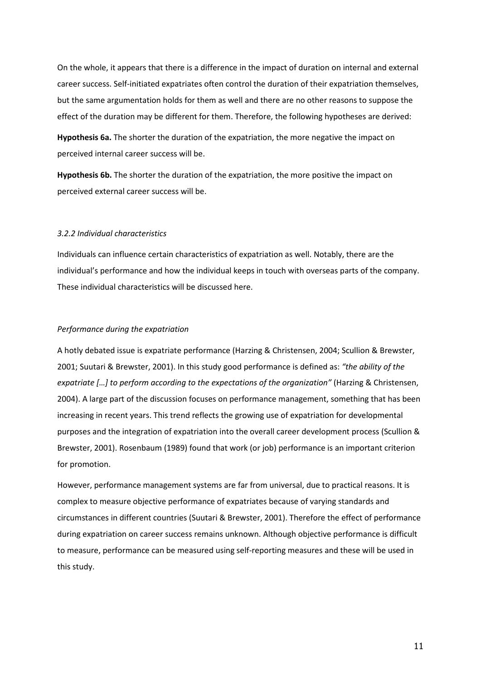On the whole, it appears that there is a difference in the impact of duration on internal and external career success. Self-initiated expatriates often control the duration of their expatriation themselves, but the same argumentation holds for them as well and there are no other reasons to suppose the effect of the duration may be different for them. Therefore, the following hypotheses are derived:

**Hypothesis 6a.** The shorter the duration of the expatriation, the more negative the impact on perceived internal career success will be.

**Hypothesis 6b.** The shorter the duration of the expatriation, the more positive the impact on perceived external career success will be.

# *3.2.2 Individual characteristics*

Individuals can influence certain characteristics of expatriation as well. Notably, there are the individual's performance and how the individual keeps in touch with overseas parts of the company. These individual characteristics will be discussed here.

#### *Performance during the expatriation*

A hotly debated issue is expatriate performance (Harzing & Christensen, 2004; Scullion & Brewster, 2001; Suutari & Brewster, 2001). In this study good performance is defined as: *"the ability of the expatriate […] to perform according to the expectations of the organization"* (Harzing & Christensen, 2004). A large part of the discussion focuses on performance management, something that has been increasing in recent years. This trend reflects the growing use of expatriation for developmental purposes and the integration of expatriation into the overall career development process (Scullion & Brewster, 2001). Rosenbaum (1989) found that work (or job) performance is an important criterion for promotion.

However, performance management systems are far from universal, due to practical reasons. It is complex to measure objective performance of expatriates because of varying standards and circumstances in different countries (Suutari & Brewster, 2001). Therefore the effect of performance during expatriation on career success remains unknown. Although objective performance is difficult to measure, performance can be measured using self-reporting measures and these will be used in this study.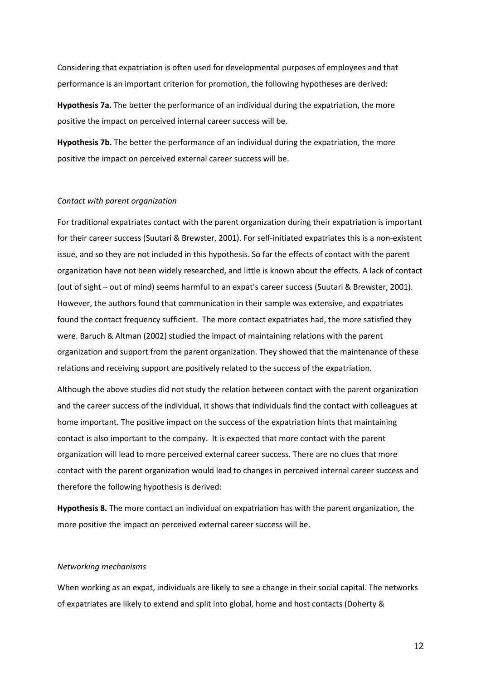Considering that expatriation is often used for developmental purposes of employees and that performance is an important criterion for promotion, the following hypotheses are derived:

**Hypothesis 7a.** The better the performance of an individual during the expatriation, the more positive the impact on perceived internal career success will be.

**Hypothesis 7b.** The better the performance of an individual during the expatriation, the more positive the impact on perceived external career success will be.

#### *Contact with parent organization*

For traditional expatriates contact with the parent organization during their expatriation is important for their career success (Suutari & Brewster, 2001). For self-initiated expatriates this is a non-existent issue, and so they are not included in this hypothesis. So far the effects of contact with the parent organization have not been widely researched, and little is known about the effects. A lack of contact (out of sight – out of mind) seems harmful to an expat's career success (Suutari & Brewster, 2001). However, the authors found that communication in their sample was extensive, and expatriates found the contact frequency sufficient. The more contact expatriates had, the more satisfied they were. Baruch & Altman (2002) studied the impact of maintaining relations with the parent organization and support from the parent organization. They showed that the maintenance of these relations and receiving support are positively related to the success of the expatriation.

Although the above studies did not study the relation between contact with the parent organization and the career success of the individual, it shows that individuals find the contact with colleagues at home important. The positive impact on the success of the expatriation hints that maintaining contact is also important to the company. It is expected that more contact with the parent organization will lead to more perceived external career success. There are no clues that more contact with the parent organization would lead to changes in perceived internal career success and therefore the following hypothesis is derived:

**Hypothesis 8.** The more contact an individual on expatriation has with the parent organization, the more positive the impact on perceived external career success will be.

#### *Networking mechanisms*

When working as an expat, individuals are likely to see a change in their social capital. The networks of expatriates are likely to extend and split into global, home and host contacts (Doherty &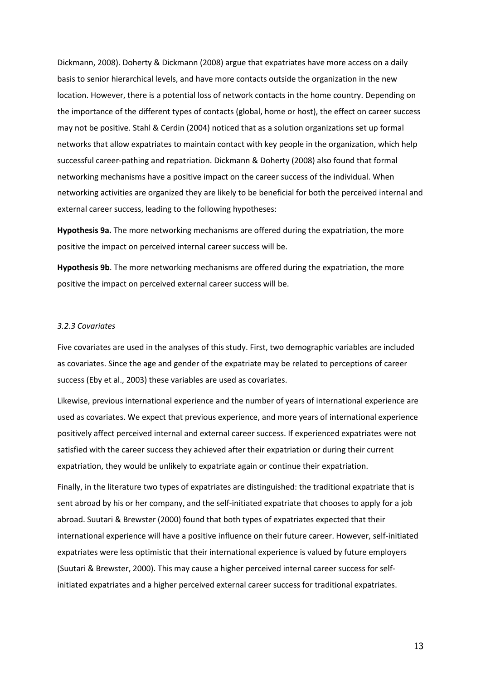Dickmann, 2008). Doherty & Dickmann (2008) argue that expatriates have more access on a daily basis to senior hierarchical levels, and have more contacts outside the organization in the new location. However, there is a potential loss of network contacts in the home country. Depending on the importance of the different types of contacts (global, home or host), the effect on career success may not be positive. Stahl & Cerdin (2004) noticed that as a solution organizations set up formal networks that allow expatriates to maintain contact with key people in the organization, which help successful career-pathing and repatriation. Dickmann & Doherty (2008) also found that formal networking mechanisms have a positive impact on the career success of the individual. When networking activities are organized they are likely to be beneficial for both the perceived internal and external career success, leading to the following hypotheses:

**Hypothesis 9a.** The more networking mechanisms are offered during the expatriation, the more positive the impact on perceived internal career success will be.

**Hypothesis 9b**. The more networking mechanisms are offered during the expatriation, the more positive the impact on perceived external career success will be.

#### *3.2.3 Covariates*

Five covariates are used in the analyses of this study. First, two demographic variables are included as covariates. Since the age and gender of the expatriate may be related to perceptions of career success (Eby et al., 2003) these variables are used as covariates.

Likewise, previous international experience and the number of years of international experience are used as covariates. We expect that previous experience, and more years of international experience positively affect perceived internal and external career success. If experienced expatriates were not satisfied with the career success they achieved after their expatriation or during their current expatriation, they would be unlikely to expatriate again or continue their expatriation.

Finally, in the literature two types of expatriates are distinguished: the traditional expatriate that is sent abroad by his or her company, and the self-initiated expatriate that chooses to apply for a job abroad. Suutari & Brewster (2000) found that both types of expatriates expected that their international experience will have a positive influence on their future career. However, self-initiated expatriates were less optimistic that their international experience is valued by future employers (Suutari & Brewster, 2000). This may cause a higher perceived internal career success for selfinitiated expatriates and a higher perceived external career success for traditional expatriates.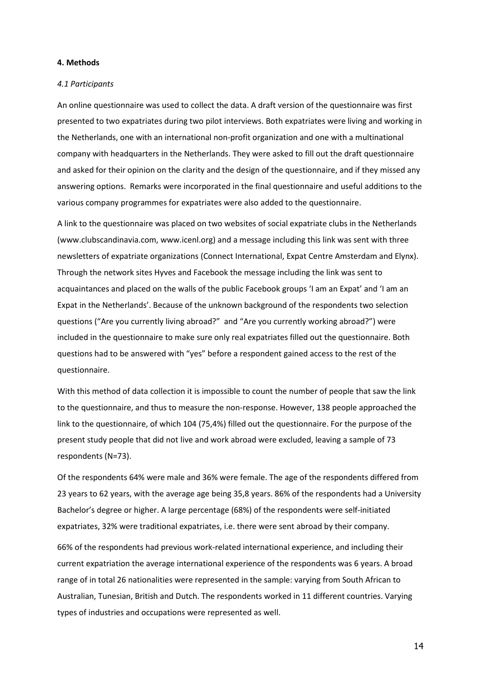# **4. Methods**

#### *4.1 Participants*

An online questionnaire was used to collect the data. A draft version of the questionnaire was first presented to two expatriates during two pilot interviews. Both expatriates were living and working in the Netherlands, one with an international non-profit organization and one with a multinational company with headquarters in the Netherlands. They were asked to fill out the draft questionnaire and asked for their opinion on the clarity and the design of the questionnaire, and if they missed any answering options. Remarks were incorporated in the final questionnaire and useful additions to the various company programmes for expatriates were also added to the questionnaire.

A link to the questionnaire was placed on two websites of social expatriate clubs in the Netherlands (www.clubscandinavia.com, www.icenl.org) and a message including this link was sent with three newsletters of expatriate organizations (Connect International, Expat Centre Amsterdam and Elynx). Through the network sites Hyves and Facebook the message including the link was sent to acquaintances and placed on the walls of the public Facebook groups 'I am an Expat' and 'I am an Expat in the Netherlands'. Because of the unknown background of the respondents two selection questions ("Are you currently living abroad?" and "Are you currently working abroad?") were included in the questionnaire to make sure only real expatriates filled out the questionnaire. Both questions had to be answered with "yes" before a respondent gained access to the rest of the questionnaire.

With this method of data collection it is impossible to count the number of people that saw the link to the questionnaire, and thus to measure the non-response. However, 138 people approached the link to the questionnaire, of which 104 (75,4%) filled out the questionnaire. For the purpose of the present study people that did not live and work abroad were excluded, leaving a sample of 73 respondents (N=73).

Of the respondents 64% were male and 36% were female. The age of the respondents differed from 23 years to 62 years, with the average age being 35,8 years. 86% of the respondents had a University Bachelor's degree or higher. A large percentage (68%) of the respondents were self-initiated expatriates, 32% were traditional expatriates, i.e. there were sent abroad by their company.

66% of the respondents had previous work-related international experience, and including their current expatriation the average international experience of the respondents was 6 years. A broad range of in total 26 nationalities were represented in the sample: varying from South African to Australian, Tunesian, British and Dutch. The respondents worked in 11 different countries. Varying types of industries and occupations were represented as well.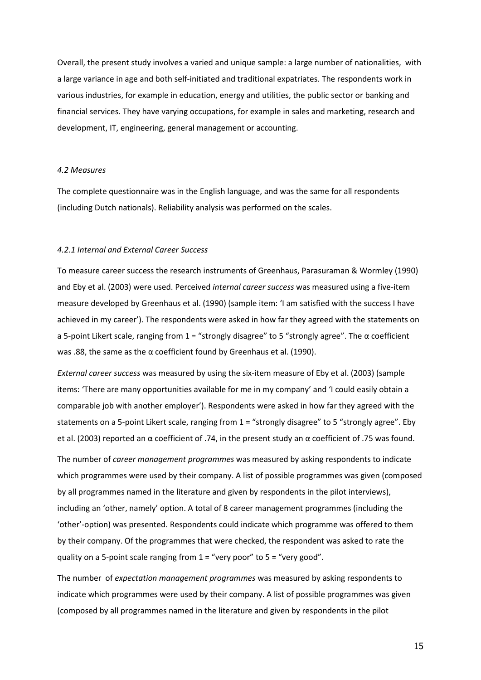Overall, the present study involves a varied and unique sample: a large number of nationalities, with a large variance in age and both self-initiated and traditional expatriates. The respondents work in various industries, for example in education, energy and utilities, the public sector or banking and financial services. They have varying occupations, for example in sales and marketing, research and development, IT, engineering, general management or accounting.

#### *4.2 Measures*

The complete questionnaire was in the English language, and was the same for all respondents (including Dutch nationals). Reliability analysis was performed on the scales.

#### *4.2.1 Internal and External Career Success*

To measure career success the research instruments of Greenhaus, Parasuraman & Wormley (1990) and Eby et al. (2003) were used. Perceived *internal career success* was measured using a five-item measure developed by Greenhaus et al. (1990) (sample item: 'I am satisfied with the success I have achieved in my career'). The respondents were asked in how far they agreed with the statements on a 5-point Likert scale, ranging from 1 = "strongly disagree" to 5 "strongly agree". The α coefficient was .88, the same as the α coefficient found by Greenhaus et al. (1990).

*External career success* was measured by using the six-item measure of Eby et al. (2003) (sample items: 'There are many opportunities available for me in my company' and 'I could easily obtain a comparable job with another employer'). Respondents were asked in how far they agreed with the statements on a 5-point Likert scale, ranging from 1 = "strongly disagree" to 5 "strongly agree". Eby et al. (2003) reported an α coefficient of .74, in the present study an α coefficient of .75 was found.

The number of *career management programmes* was measured by asking respondents to indicate which programmes were used by their company. A list of possible programmes was given (composed by all programmes named in the literature and given by respondents in the pilot interviews), including an 'other, namely' option. A total of 8 career management programmes (including the 'other'-option) was presented. Respondents could indicate which programme was offered to them by their company. Of the programmes that were checked, the respondent was asked to rate the quality on a 5-point scale ranging from  $1 =$  "very poor" to  $5 =$  "very good".

The number of *expectation management programmes* was measured by asking respondents to indicate which programmes were used by their company. A list of possible programmes was given (composed by all programmes named in the literature and given by respondents in the pilot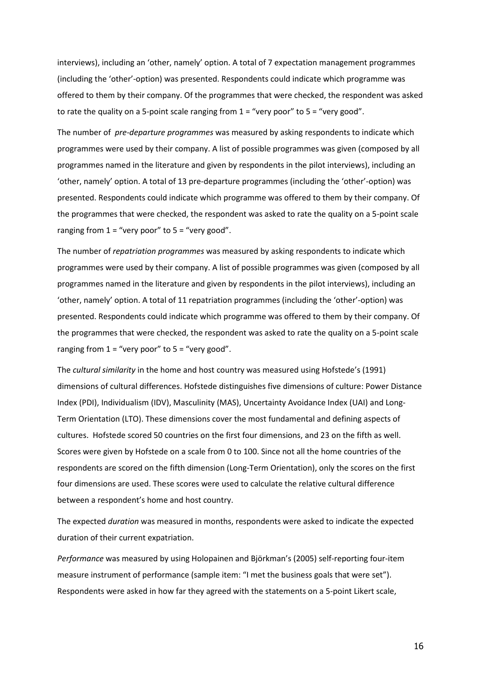interviews), including an 'other, namely' option. A total of 7 expectation management programmes (including the 'other'-option) was presented. Respondents could indicate which programme was offered to them by their company. Of the programmes that were checked, the respondent was asked to rate the quality on a 5-point scale ranging from  $1 =$  "very poor" to  $5 =$  "very good".

The number of *pre-departure programmes* was measured by asking respondents to indicate which programmes were used by their company. A list of possible programmes was given (composed by all programmes named in the literature and given by respondents in the pilot interviews), including an 'other, namely' option. A total of 13 pre-departure programmes (including the 'other'-option) was presented. Respondents could indicate which programme was offered to them by their company. Of the programmes that were checked, the respondent was asked to rate the quality on a 5-point scale ranging from  $1 =$  "very poor" to  $5 =$  "very good".

The number of *repatriation programmes* was measured by asking respondents to indicate which programmes were used by their company. A list of possible programmes was given (composed by all programmes named in the literature and given by respondents in the pilot interviews), including an 'other, namely' option. A total of 11 repatriation programmes (including the 'other'-option) was presented. Respondents could indicate which programme was offered to them by their company. Of the programmes that were checked, the respondent was asked to rate the quality on a 5-point scale ranging from  $1 =$  "very poor" to  $5 =$  "very good".

The *cultural similarity* in the home and host country was measured using Hofstede's (1991) dimensions of cultural differences. Hofstede distinguishes five dimensions of culture: Power Distance Index (PDI), Individualism (IDV), Masculinity (MAS), Uncertainty Avoidance Index (UAI) and Long-Term Orientation (LTO). These dimensions cover the most fundamental and defining aspects of cultures. Hofstede scored 50 countries on the first four dimensions, and 23 on the fifth as well. Scores were given by Hofstede on a scale from 0 to 100. Since not all the home countries of the respondents are scored on the fifth dimension (Long-Term Orientation), only the scores on the first four dimensions are used. These scores were used to calculate the relative cultural difference between a respondent's home and host country.

The expected *duration* was measured in months, respondents were asked to indicate the expected duration of their current expatriation.

*Performance* was measured by using Holopainen and Björkman's (2005) self-reporting four-item measure instrument of performance (sample item: "I met the business goals that were set"). Respondents were asked in how far they agreed with the statements on a 5-point Likert scale,

16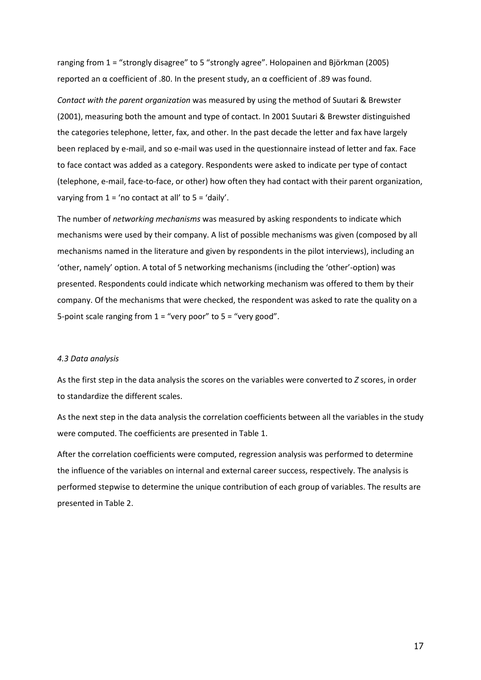ranging from 1 = "strongly disagree" to 5 "strongly agree". Holopainen and Björkman (2005) reported an α coefficient of .80. In the present study, an α coefficient of .89 was found.

*Contact with the parent organization* was measured by using the method of Suutari & Brewster (2001), measuring both the amount and type of contact. In 2001 Suutari & Brewster distinguished the categories telephone, letter, fax, and other. In the past decade the letter and fax have largely been replaced by e-mail, and so e-mail was used in the questionnaire instead of letter and fax. Face to face contact was added as a category. Respondents were asked to indicate per type of contact (telephone, e-mail, face-to-face, or other) how often they had contact with their parent organization, varying from  $1 = 'no$  contact at all' to  $5 = 'd$ aily'.

The number of *networking mechanisms* was measured by asking respondents to indicate which mechanisms were used by their company. A list of possible mechanisms was given (composed by all mechanisms named in the literature and given by respondents in the pilot interviews), including an 'other, namely' option. A total of 5 networking mechanisms (including the 'other'-option) was presented. Respondents could indicate which networking mechanism was offered to them by their company. Of the mechanisms that were checked, the respondent was asked to rate the quality on a 5-point scale ranging from  $1 =$  "very poor" to  $5 =$  "very good".

# *4.3 Data analysis*

As the first step in the data analysis the scores on the variables were converted to *Z* scores, in order to standardize the different scales.

As the next step in the data analysis the correlation coefficients between all the variables in the study were computed. The coefficients are presented in Table 1.

After the correlation coefficients were computed, regression analysis was performed to determine the influence of the variables on internal and external career success, respectively. The analysis is performed stepwise to determine the unique contribution of each group of variables. The results are presented in Table 2.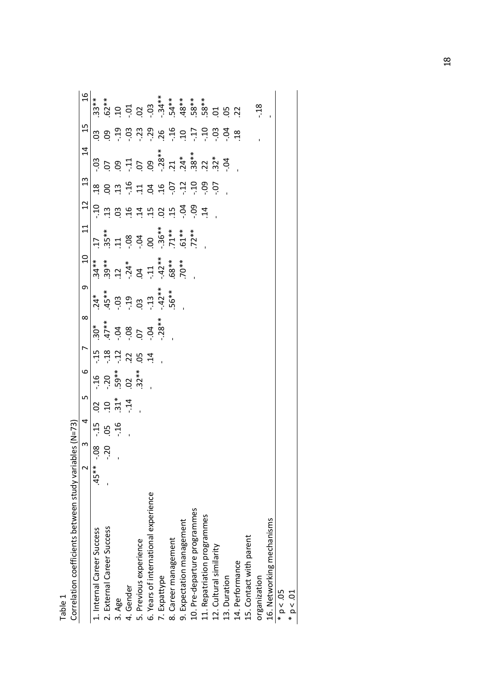| Correlation coefficients between study variables (N=73) |                         |                |                |       |                                                   |                                                                                                                                                                                                                                                                                                        |                                                                |                                                                                                                                             |                                                                       |       |                |               |                                                                                                 |                           |               |
|---------------------------------------------------------|-------------------------|----------------|----------------|-------|---------------------------------------------------|--------------------------------------------------------------------------------------------------------------------------------------------------------------------------------------------------------------------------------------------------------------------------------------------------------|----------------------------------------------------------------|---------------------------------------------------------------------------------------------------------------------------------------------|-----------------------------------------------------------------------|-------|----------------|---------------|-------------------------------------------------------------------------------------------------|---------------------------|---------------|
|                                                         | $\overline{\mathsf{C}}$ | $\mathfrak{g}$ | 4              | LN    | $\circ$                                           | $\overline{a}$                                                                                                                                                                                                                                                                                         | $\infty$                                                       | o                                                                                                                                           | $\Xi$                                                                 | $\Xi$ | 12             | $\frac{3}{2}$ | $\overline{4}$                                                                                  | $\frac{15}{2}$            | $\frac{6}{1}$ |
| 1. Internal Career Success                              | $.45***$                |                |                |       |                                                   |                                                                                                                                                                                                                                                                                                        | $30*$                                                          |                                                                                                                                             | $34**$                                                                |       |                |               | CO.                                                                                             | 3                         | $33**$        |
| 2. External Career Success                              |                         | $-0.8$         | <b>43 g 43</b> |       |                                                   |                                                                                                                                                                                                                                                                                                        |                                                                |                                                                                                                                             |                                                                       |       |                |               |                                                                                                 | g                         |               |
| 3. Age                                                  |                         |                |                | 89.77 | $16$<br>$-29$ $+8$<br>$-59$ $-8$<br>$-8$<br>$-32$ | $\begin{array}{c} 4.5 & 4.5 \\ 4.5 & 4.5 \\ 3.5 & 4.5 \\ 4.5 & 5.5 \\ 5.5 & 6.5 \\ 6.5 & 7.5 \\ 7.5 & 7.5 \\ 8.5 & 7.5 \\ 9.5 & 1.5 \\ 1.5 & 1.5 \\ 1.5 & 1.5 \\ 1.5 & 1.5 \\ 1.5 & 1.5 \\ 1.5 & 1.5 \\ 1.5 & 1.5 \\ 1.5 & 1.5 \\ 1.5 & 1.5 \\ 1.5 & 1.5 \\ 1.5 & 1.5 \\ 1.5 & 1.5 \\ 1.5 & 1.5 \\ 1.$ | $47**$<br>$04$<br>$05$<br>$07$<br>$04$<br>$04$<br>$04$<br>$04$ | $\begin{array}{cccc}\n 24 & * & * & * & * \\  45 & * & * & * & * & * \\  50 & 3 & 3 & 3 & 4 & * \\  56 & * & * & * & * & * \\  \end{array}$ | $39**$<br>.12<br>.14<br>.14<br>.42<br>.40<br>.40<br>.40<br>.40<br>.40 |       | engerangnas    | 883458464586  | $59.75$<br>$59.75$<br>$38.75$<br>$38.75$<br>$38.75$<br>$38.75$<br>$39.75$<br>$39.75$<br>$39.75$ |                           |               |
| 4. Gender                                               |                         |                |                |       |                                                   |                                                                                                                                                                                                                                                                                                        |                                                                |                                                                                                                                             |                                                                       |       |                |               |                                                                                                 |                           |               |
| 5. Previous experience                                  |                         |                |                |       |                                                   |                                                                                                                                                                                                                                                                                                        |                                                                |                                                                                                                                             |                                                                       |       |                |               |                                                                                                 |                           |               |
| 6. Years of international experience                    |                         |                |                |       |                                                   |                                                                                                                                                                                                                                                                                                        |                                                                |                                                                                                                                             |                                                                       |       |                |               |                                                                                                 |                           |               |
| 7. Expattype                                            |                         |                |                |       |                                                   |                                                                                                                                                                                                                                                                                                        |                                                                |                                                                                                                                             |                                                                       |       |                |               |                                                                                                 |                           |               |
| 8. Career management                                    |                         |                |                |       |                                                   |                                                                                                                                                                                                                                                                                                        |                                                                |                                                                                                                                             |                                                                       |       |                |               |                                                                                                 |                           |               |
| 9. Expectation management                               |                         |                |                |       |                                                   |                                                                                                                                                                                                                                                                                                        |                                                                |                                                                                                                                             |                                                                       |       |                |               |                                                                                                 |                           |               |
| 10. Pre-departure programmes                            |                         |                |                |       |                                                   |                                                                                                                                                                                                                                                                                                        |                                                                |                                                                                                                                             |                                                                       |       |                |               |                                                                                                 | 9 8 8 9 8 9 9 9 9 9 9 9 9 |               |
| 11. Repatriation programmes                             |                         |                |                |       |                                                   |                                                                                                                                                                                                                                                                                                        |                                                                |                                                                                                                                             |                                                                       |       | $\overline{1}$ |               |                                                                                                 |                           |               |
| 12. Cultural similarity                                 |                         |                |                |       |                                                   |                                                                                                                                                                                                                                                                                                        |                                                                |                                                                                                                                             |                                                                       |       |                |               |                                                                                                 |                           |               |
| 13. Duration                                            |                         |                |                |       |                                                   |                                                                                                                                                                                                                                                                                                        |                                                                |                                                                                                                                             |                                                                       |       |                |               |                                                                                                 |                           |               |
| 14. Performance                                         |                         |                |                |       |                                                   |                                                                                                                                                                                                                                                                                                        |                                                                |                                                                                                                                             |                                                                       |       |                |               |                                                                                                 |                           |               |
| 15. Contact with parent                                 |                         |                |                |       |                                                   |                                                                                                                                                                                                                                                                                                        |                                                                |                                                                                                                                             |                                                                       |       |                |               |                                                                                                 |                           |               |
| organization                                            |                         |                |                |       |                                                   |                                                                                                                                                                                                                                                                                                        |                                                                |                                                                                                                                             |                                                                       |       |                |               |                                                                                                 |                           | $\cdot$ 18    |
| 16. Networking mechanisms                               |                         |                |                |       |                                                   |                                                                                                                                                                                                                                                                                                        |                                                                |                                                                                                                                             |                                                                       |       |                |               |                                                                                                 |                           |               |
| $* p < .05$                                             |                         |                |                |       |                                                   |                                                                                                                                                                                                                                                                                                        |                                                                |                                                                                                                                             |                                                                       |       |                |               |                                                                                                 |                           |               |
| p < 01                                                  |                         |                |                |       |                                                   |                                                                                                                                                                                                                                                                                                        |                                                                |                                                                                                                                             |                                                                       |       |                |               |                                                                                                 |                           |               |

Table 1

18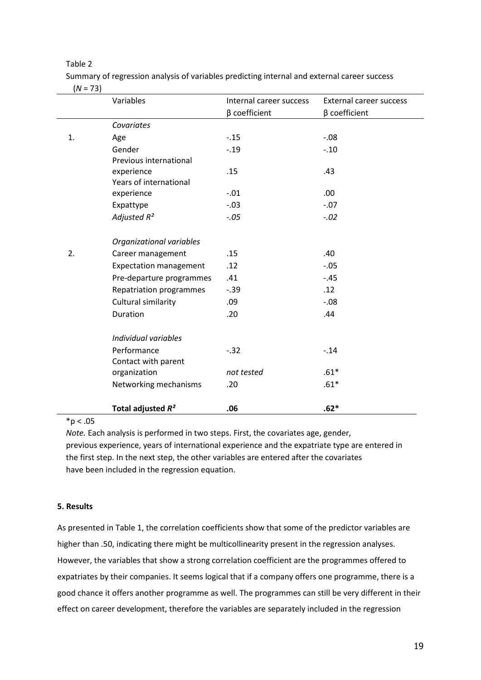# Table 2

Summary of regression analysis of variables predicting internal and external career success  $(N = 73)$ 

|    | Variables                     | Internal career success | External career success |
|----|-------------------------------|-------------------------|-------------------------|
|    |                               | $\beta$ coefficient     | β coefficient           |
|    | Covariates                    |                         |                         |
| 1. | Age                           | $-.15$                  | $-0.08$                 |
|    | Gender                        | $-0.19$                 | $-.10$                  |
|    | Previous international        |                         |                         |
|    | experience                    | .15                     | .43                     |
|    | Years of international        |                         |                         |
|    | experience                    | $-.01$                  | .00.                    |
|    | Expattype                     | $-.03$                  | $-.07$                  |
|    | Adjusted R <sup>2</sup>       | $-.05$                  | $-.02$                  |
|    | Organizational variables      |                         |                         |
| 2. | Career management             | .15                     | .40                     |
|    | <b>Expectation management</b> | .12                     | $-.05$                  |
|    | Pre-departure programmes      | .41                     | $-.45$                  |
|    | Repatriation programmes       | $-.39$                  | .12                     |
|    | Cultural similarity           | .09                     | $-0.08$                 |
|    | Duration                      | .20                     | .44                     |
|    | Individual variables          |                         |                         |
|    | Performance                   | $-0.32$                 | $-14$                   |
|    | Contact with parent           |                         |                         |
|    | organization                  | not tested              | $.61*$                  |
|    | Networking mechanisms         | .20                     | $.61*$                  |
|    | Total adjusted $R^2$          | .06                     | $.62*$                  |

# $*p < .05$

*Note.* Each analysis is performed in two steps. First, the covariates age, gender, previous experience, years of international experience and the expatriate type are entered in the first step. In the next step, the other variables are entered after the covariates have been included in the regression equation.

# **5. Results**

As presented in Table 1, the correlation coefficients show that some of the predictor variables are higher than .50, indicating there might be multicollinearity present in the regression analyses. However, the variables that show a strong correlation coefficient are the programmes offered to expatriates by their companies. It seems logical that if a company offers one programme, there is a good chance it offers another programme as well. The programmes can still be very different in their effect on career development, therefore the variables are separately included in the regression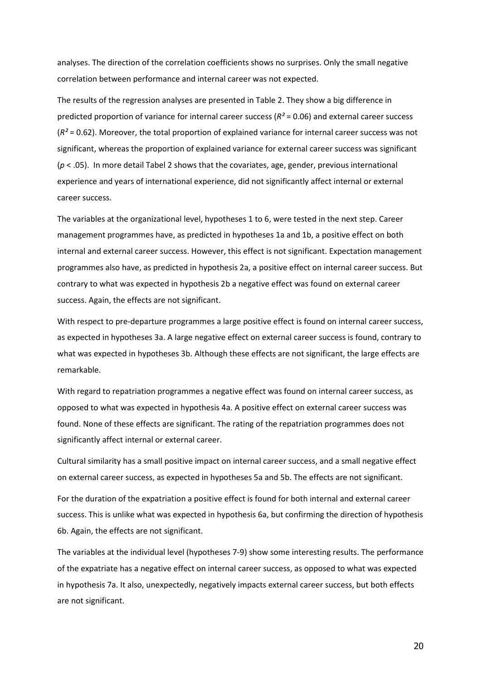analyses. The direction of the correlation coefficients shows no surprises. Only the small negative correlation between performance and internal career was not expected.

The results of the regression analyses are presented in Table 2. They show a big difference in predicted proportion of variance for internal career success (*R²* = 0.06) and external career success (*R²* = 0.62). Moreover, the total proportion of explained variance for internal career success was not significant, whereas the proportion of explained variance for external career success was significant (*p* < .05). In more detail Tabel 2 shows that the covariates, age, gender, previous international experience and years of international experience, did not significantly affect internal or external career success.

The variables at the organizational level, hypotheses 1 to 6, were tested in the next step. Career management programmes have, as predicted in hypotheses 1a and 1b, a positive effect on both internal and external career success. However, this effect is not significant. Expectation management programmes also have, as predicted in hypothesis 2a, a positive effect on internal career success. But contrary to what was expected in hypothesis 2b a negative effect was found on external career success. Again, the effects are not significant.

With respect to pre-departure programmes a large positive effect is found on internal career success, as expected in hypotheses 3a. A large negative effect on external career success is found, contrary to what was expected in hypotheses 3b. Although these effects are not significant, the large effects are remarkable.

With regard to repatriation programmes a negative effect was found on internal career success, as opposed to what was expected in hypothesis 4a. A positive effect on external career success was found. None of these effects are significant. The rating of the repatriation programmes does not significantly affect internal or external career.

Cultural similarity has a small positive impact on internal career success, and a small negative effect on external career success, as expected in hypotheses 5a and 5b. The effects are not significant.

For the duration of the expatriation a positive effect is found for both internal and external career success. This is unlike what was expected in hypothesis 6a, but confirming the direction of hypothesis 6b. Again, the effects are not significant.

The variables at the individual level (hypotheses 7-9) show some interesting results. The performance of the expatriate has a negative effect on internal career success, as opposed to what was expected in hypothesis 7a. It also, unexpectedly, negatively impacts external career success, but both effects are not significant.

20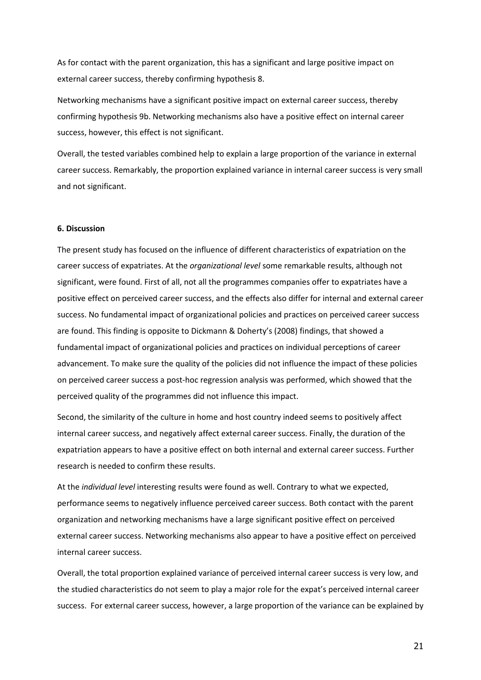As for contact with the parent organization, this has a significant and large positive impact on external career success, thereby confirming hypothesis 8.

Networking mechanisms have a significant positive impact on external career success, thereby confirming hypothesis 9b. Networking mechanisms also have a positive effect on internal career success, however, this effect is not significant.

Overall, the tested variables combined help to explain a large proportion of the variance in external career success. Remarkably, the proportion explained variance in internal career success is very small and not significant.

#### **6. Discussion**

The present study has focused on the influence of different characteristics of expatriation on the career success of expatriates. At the *organizational level* some remarkable results, although not significant, were found. First of all, not all the programmes companies offer to expatriates have a positive effect on perceived career success, and the effects also differ for internal and external career success. No fundamental impact of organizational policies and practices on perceived career success are found. This finding is opposite to Dickmann & Doherty's (2008) findings, that showed a fundamental impact of organizational policies and practices on individual perceptions of career advancement. To make sure the quality of the policies did not influence the impact of these policies on perceived career success a post-hoc regression analysis was performed, which showed that the perceived quality of the programmes did not influence this impact.

Second, the similarity of the culture in home and host country indeed seems to positively affect internal career success, and negatively affect external career success. Finally, the duration of the expatriation appears to have a positive effect on both internal and external career success. Further research is needed to confirm these results.

At the *individual level* interesting results were found as well. Contrary to what we expected, performance seems to negatively influence perceived career success. Both contact with the parent organization and networking mechanisms have a large significant positive effect on perceived external career success. Networking mechanisms also appear to have a positive effect on perceived internal career success.

Overall, the total proportion explained variance of perceived internal career success is very low, and the studied characteristics do not seem to play a major role for the expat's perceived internal career success. For external career success, however, a large proportion of the variance can be explained by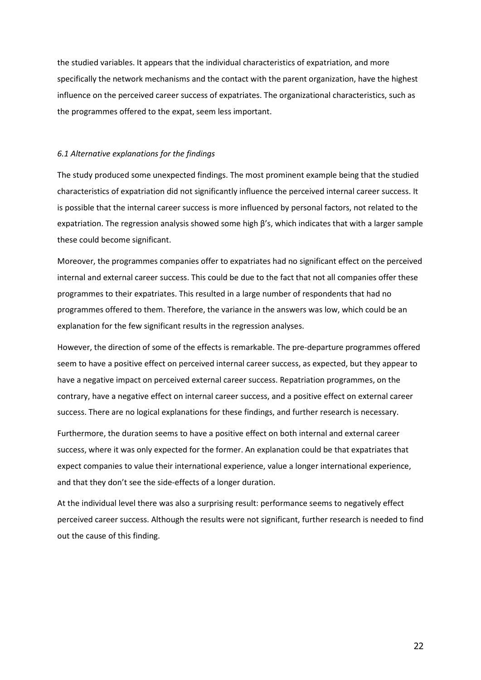the studied variables. It appears that the individual characteristics of expatriation, and more specifically the network mechanisms and the contact with the parent organization, have the highest influence on the perceived career success of expatriates. The organizational characteristics, such as the programmes offered to the expat, seem less important.

### *6.1 Alternative explanations for the findings*

The study produced some unexpected findings. The most prominent example being that the studied characteristics of expatriation did not significantly influence the perceived internal career success. It is possible that the internal career success is more influenced by personal factors, not related to the expatriation. The regression analysis showed some high  $\beta$ 's, which indicates that with a larger sample these could become significant.

Moreover, the programmes companies offer to expatriates had no significant effect on the perceived internal and external career success. This could be due to the fact that not all companies offer these programmes to their expatriates. This resulted in a large number of respondents that had no programmes offered to them. Therefore, the variance in the answers was low, which could be an explanation for the few significant results in the regression analyses.

However, the direction of some of the effects is remarkable. The pre-departure programmes offered seem to have a positive effect on perceived internal career success, as expected, but they appear to have a negative impact on perceived external career success. Repatriation programmes, on the contrary, have a negative effect on internal career success, and a positive effect on external career success. There are no logical explanations for these findings, and further research is necessary.

Furthermore, the duration seems to have a positive effect on both internal and external career success, where it was only expected for the former. An explanation could be that expatriates that expect companies to value their international experience, value a longer international experience, and that they don't see the side-effects of a longer duration.

At the individual level there was also a surprising result: performance seems to negatively effect perceived career success. Although the results were not significant, further research is needed to find out the cause of this finding.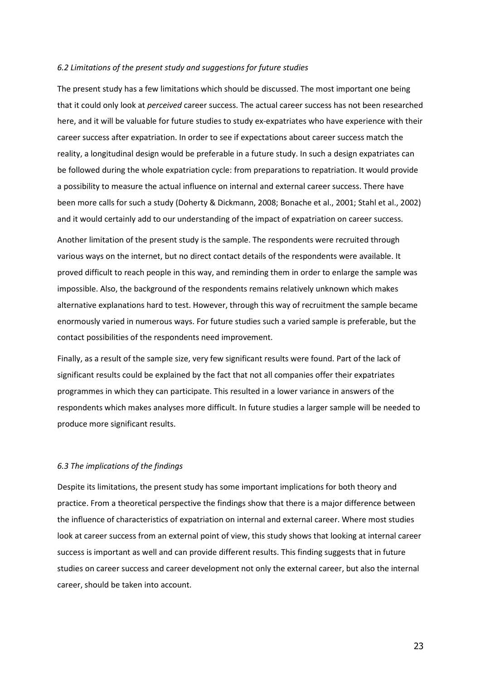#### *6.2 Limitations of the present study and suggestions for future studies*

The present study has a few limitations which should be discussed. The most important one being that it could only look at *perceived* career success. The actual career success has not been researched here, and it will be valuable for future studies to study ex-expatriates who have experience with their career success after expatriation. In order to see if expectations about career success match the reality, a longitudinal design would be preferable in a future study. In such a design expatriates can be followed during the whole expatriation cycle: from preparations to repatriation. It would provide a possibility to measure the actual influence on internal and external career success. There have been more calls for such a study (Doherty & Dickmann, 2008; Bonache et al., 2001; Stahl et al., 2002) and it would certainly add to our understanding of the impact of expatriation on career success.

Another limitation of the present study is the sample. The respondents were recruited through various ways on the internet, but no direct contact details of the respondents were available. It proved difficult to reach people in this way, and reminding them in order to enlarge the sample was impossible. Also, the background of the respondents remains relatively unknown which makes alternative explanations hard to test. However, through this way of recruitment the sample became enormously varied in numerous ways. For future studies such a varied sample is preferable, but the contact possibilities of the respondents need improvement.

Finally, as a result of the sample size, very few significant results were found. Part of the lack of significant results could be explained by the fact that not all companies offer their expatriates programmes in which they can participate. This resulted in a lower variance in answers of the respondents which makes analyses more difficult. In future studies a larger sample will be needed to produce more significant results.

# *6.3 The implications of the findings*

Despite its limitations, the present study has some important implications for both theory and practice. From a theoretical perspective the findings show that there is a major difference between the influence of characteristics of expatriation on internal and external career. Where most studies look at career success from an external point of view, this study shows that looking at internal career success is important as well and can provide different results. This finding suggests that in future studies on career success and career development not only the external career, but also the internal career, should be taken into account.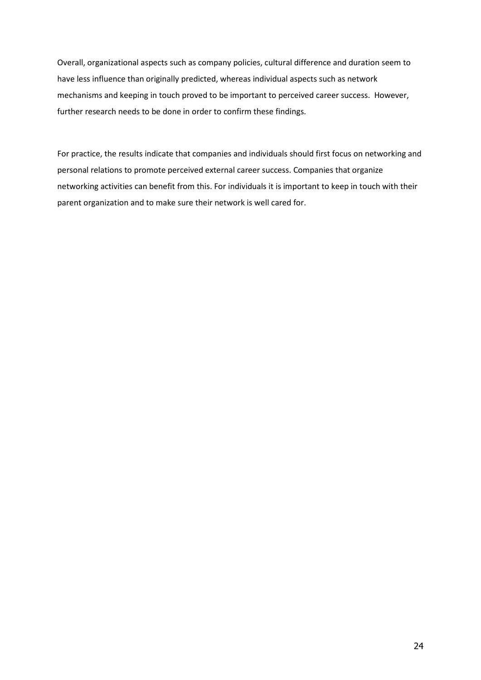Overall, organizational aspects such as company policies, cultural difference and duration seem to have less influence than originally predicted, whereas individual aspects such as network mechanisms and keeping in touch proved to be important to perceived career success. However, further research needs to be done in order to confirm these findings.

For practice, the results indicate that companies and individuals should first focus on networking and personal relations to promote perceived external career success. Companies that organize networking activities can benefit from this. For individuals it is important to keep in touch with their parent organization and to make sure their network is well cared for.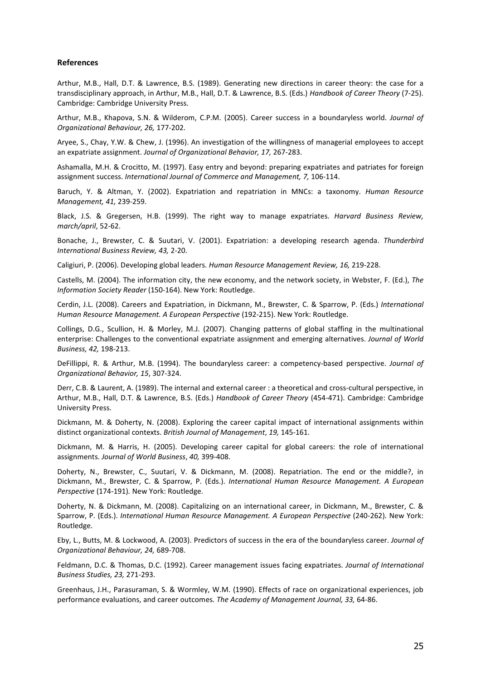# **References**

Arthur, M.B., Hall, D.T. & Lawrence, B.S. (1989). Generating new directions in career theory: the case for a transdisciplinary approach, in Arthur, M.B., Hall, D.T. & Lawrence, B.S. (Eds.) *Handbook of Career Theory* (7-25). Cambridge: Cambridge University Press.

Arthur, M.B., Khapova, S.N. & Wilderom, C.P.M. (2005). Career success in a boundaryless world. *Journal of Organizational Behaviour, 26,* 177-202.

Aryee, S., Chay, Y.W. & Chew, J. (1996). An investigation of the willingness of managerial employees to accept an expatriate assignment. *Journal of Organizational Behavior, 17,* 267-283.

Ashamalla, M.H. & Crocitto, M. (1997). Easy entry and beyond: preparing expatriates and patriates for foreign assignment success. *International Journal of Commerce and Management, 7,* 106-114.

Baruch, Y. & Altman, Y. (2002). Expatriation and repatriation in MNCs: a taxonomy. *Human Resource Management, 41,* 239-259.

Black, J.S. & Gregersen, H.B. (1999). The right way to manage expatriates. *Harvard Business Review, march/april*, 52-62.

Bonache, J., Brewster, C. & Suutari, V. (2001). Expatriation: a developing research agenda. *Thunderbird International Business Review, 43,* 2-20.

Caligiuri, P. (2006). Developing global leaders. *Human Resource Management Review, 16,* 219-228.

Castells, M. (2004). The information city, the new economy, and the network society, in Webster, F. (Ed.), *The Information Society Reader* (150-164). New York: Routledge.

Cerdin, J.L. (2008). Careers and Expatriation, in Dickmann, M., Brewster, C. & Sparrow, P. (Eds.) *International Human Resource Management. A European Perspective* (192-215). New York: Routledge.

Collings, D.G., Scullion, H. & Morley, M.J. (2007). Changing patterns of global staffing in the multinational enterprise: Challenges to the conventional expatriate assignment and emerging alternatives. *Journal of World Business, 42,* 198-213.

DeFillippi, R. & Arthur, M.B. (1994). The boundaryless career: a competency-based perspective. *Journal of Organizational Behavior, 15*, 307-324.

Derr, C.B. & Laurent, A. (1989). The internal and external career : a theoretical and cross-cultural perspective, in Arthur, M.B., Hall, D.T. & Lawrence, B.S. (Eds.) *Handbook of Career Theory* (454-471). Cambridge: Cambridge University Press.

Dickmann, M. & Doherty, N. (2008). Exploring the career capital impact of international assignments within distinct organizational contexts. *British Journal of Management*, *19,* 145-161.

Dickmann, M. & Harris, H. (2005). Developing career capital for global careers: the role of international assignments. *Journal of World Business*, *40,* 399-408.

Doherty, N., Brewster, C., Suutari, V. & Dickmann, M. (2008). Repatriation. The end or the middle?, in Dickmann, M., Brewster, C. & Sparrow, P. (Eds.). *International Human Resource Management. A European Perspective* (174-191)*.* New York: Routledge.

Doherty, N. & Dickmann, M. (2008). Capitalizing on an international career, in Dickmann, M., Brewster, C. & Sparrow, P. (Eds.). *International Human Resource Management. A European Perspective* (240-262)*.* New York: Routledge.

Eby, L., Butts, M. & Lockwood, A. (2003). Predictors of success in the era of the boundaryless career. *Journal of Organizational Behaviour, 24,* 689-708.

Feldmann, D.C. & Thomas, D.C. (1992). Career management issues facing expatriates. *Journal of International Business Studies, 23,* 271-293.

Greenhaus, J.H., Parasuraman, S. & Wormley, W.M. (1990). Effects of race on organizational experiences, job performance evaluations, and career outcomes. *The Academy of Management Journal, 33,* 64-86.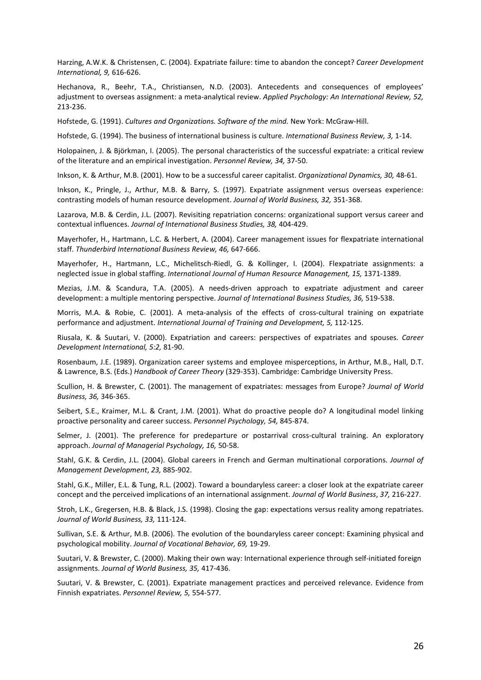Harzing, A.W.K. & Christensen, C. (2004). Expatriate failure: time to abandon the concept? *Career Development International, 9,* 616-626.

Hechanova, R., Beehr, T.A., Christiansen, N.D. (2003). Antecedents and consequences of employees' adjustment to overseas assignment: a meta-analytical review. *Applied Psychology: An International Review, 52,*  213-236.

Hofstede, G. (1991). *Cultures and Organizations. Software of the mind.* New York: McGraw-Hill.

Hofstede, G. (1994). The business of international business is culture. *International Business Review, 3,* 1-14.

Holopainen, J. & Björkman, I. (2005). The personal characteristics of the successful expatriate: a critical review of the literature and an empirical investigation. *Personnel Review, 34,* 37-50.

Inkson, K. & Arthur, M.B. (2001). How to be a successful career capitalist. *Organizational Dynamics, 30,* 48-61.

Inkson, K., Pringle, J., Arthur, M.B. & Barry, S. (1997). Expatriate assignment versus overseas experience: contrasting models of human resource development. *Journal of World Business, 32,* 351-368.

Lazarova, M.B. & Cerdin, J.L. (2007). Revisiting repatriation concerns: organizational support versus career and contextual influences. *Journal of International Business Studies, 38,* 404-429.

Mayerhofer, H., Hartmann, L.C. & Herbert, A. (2004). Career management issues for flexpatriate international staff. *Thunderbird International Business Review, 46,* 647-666.

Mayerhofer, H., Hartmann, L.C., Michelitsch-Riedl, G. & Kollinger, I. (2004). Flexpatriate assignments: a neglected issue in global staffing. *International Journal of Human Resource Management, 15,* 1371-1389.

Mezias, J.M. & Scandura, T.A. (2005). A needs-driven approach to expatriate adjustment and career development: a multiple mentoring perspective. *Journal of International Business Studies, 36,* 519-538.

Morris, M.A. & Robie, C. (2001). A meta-analysis of the effects of cross-cultural training on expatriate performance and adjustment. *International Journal of Training and Development, 5,* 112-125.

Riusala, K. & Suutari, V. (2000). Expatriation and careers: perspectives of expatriates and spouses. *Career Development International, 5:2,* 81-90.

Rosenbaum, J.E. (1989). Organization career systems and employee misperceptions, in Arthur, M.B., Hall, D.T. & Lawrence, B.S. (Eds.) *Handbook of Career Theory* (329-353). Cambridge: Cambridge University Press.

Scullion, H. & Brewster, C. (2001). The management of expatriates: messages from Europe? *Journal of World Business, 36,* 346-365.

Seibert, S.E., Kraimer, M.L. & Crant, J.M. (2001). What do proactive people do? A longitudinal model linking proactive personality and career success. *Personnel Psychology, 54,* 845-874.

Selmer, J. (2001). The preference for predeparture or postarrival cross-cultural training. An exploratory approach. *Journal of Managerial Psychology, 16,* 50-58.

Stahl, G.K. & Cerdin, J.L. (2004). Global careers in French and German multinational corporations. *Journal of Management Development*, *23,* 885-902.

Stahl, G.K., Miller, E.L. & Tung, R.L. (2002). Toward a boundaryless career: a closer look at the expatriate career concept and the perceived implications of an international assignment. *Journal of World Business*, *37,* 216-227.

Stroh, L.K., Gregersen, H.B. & Black, J.S. (1998). Closing the gap: expectations versus reality among repatriates. *Journal of World Business, 33,* 111-124.

Sullivan, S.E. & Arthur, M.B. (2006). The evolution of the boundaryless career concept: Examining physical and psychological mobility. *Journal of Vocational Behavior, 69,* 19-29.

Suutari, V. & Brewster, C. (2000). Making their own way: International experience through self-initiated foreign assignments. *Journal of World Business, 35,* 417-436.

Suutari, V. & Brewster, C. (2001). Expatriate management practices and perceived relevance. Evidence from Finnish expatriates. *Personnel Review, 5,* 554-577.